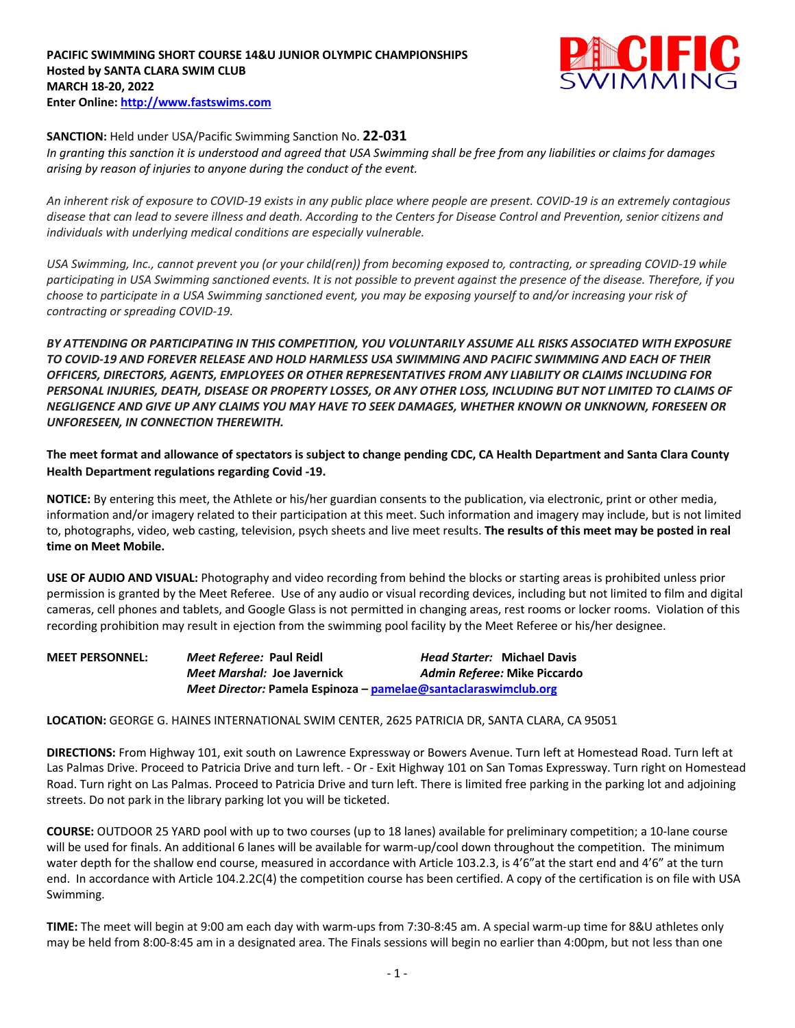## **PACIFIC SWIMMING SHORT COURSE 14&U JUNIOR OLYMPIC CHAMPIONSHIPS Hosted by SANTA CLARA SWIM CLUB MARCH 18-20, 2022 Enter Online: http://www.fastswims.com**



## **SANCTION:** Held under USA/Pacific Swimming Sanction No. **22-031**

*In granting this sanction it is understood and agreed that USA Swimming shall be free from any liabilities or claims for damages arising by reason of injuries to anyone during the conduct of the event.* 

*An inherent risk of exposure to COVID-19 exists in any public place where people are present. COVID-19 is an extremely contagious disease that can lead to severe illness and death. According to the Centers for Disease Control and Prevention, senior citizens and individuals with underlying medical conditions are especially vulnerable.*

*USA Swimming, Inc., cannot prevent you (or your child(ren)) from becoming exposed to, contracting, or spreading COVID-19 while participating in USA Swimming sanctioned events. It is not possible to prevent against the presence of the disease. Therefore, if you choose to participate in a USA Swimming sanctioned event, you may be exposing yourself to and/or increasing your risk of contracting or spreading COVID-19.*

*BY ATTENDING OR PARTICIPATING IN THIS COMPETITION, YOU VOLUNTARILY ASSUME ALL RISKS ASSOCIATED WITH EXPOSURE TO COVID-19 AND FOREVER RELEASE AND HOLD HARMLESS USA SWIMMING AND PACIFIC SWIMMING AND EACH OF THEIR OFFICERS, DIRECTORS, AGENTS, EMPLOYEES OR OTHER REPRESENTATIVES FROM ANY LIABILITY OR CLAIMS INCLUDING FOR PERSONAL INJURIES, DEATH, DISEASE OR PROPERTY LOSSES, OR ANY OTHER LOSS, INCLUDING BUT NOT LIMITED TO CLAIMS OF NEGLIGENCE AND GIVE UP ANY CLAIMS YOU MAY HAVE TO SEEK DAMAGES, WHETHER KNOWN OR UNKNOWN, FORESEEN OR UNFORESEEN, IN CONNECTION THEREWITH.*

**The meet format and allowance of spectators is subject to change pending CDC, CA Health Department and Santa Clara County Health Department regulations regarding Covid -19.**

**NOTICE:** By entering this meet, the Athlete or his/her guardian consents to the publication, via electronic, print or other media, information and/or imagery related to their participation at this meet. Such information and imagery may include, but is not limited to, photographs, video, web casting, television, psych sheets and live meet results. **The results of this meet may be posted in real time on Meet Mobile.**

**USE OF AUDIO AND VISUAL:** Photography and video recording from behind the blocks or starting areas is prohibited unless prior permission is granted by the Meet Referee. Use of any audio or visual recording devices, including but not limited to film and digital cameras, cell phones and tablets, and Google Glass is not permitted in changing areas, rest rooms or locker rooms. Violation of this recording prohibition may result in ejection from the swimming pool facility by the Meet Referee or his/her designee.

| <b>MEET PERSONNEL:</b> | Meet Referee: Paul Reidl                                        | <b>Head Starter: Michael Davis</b> |
|------------------------|-----------------------------------------------------------------|------------------------------------|
|                        | Meet Marshal: Joe Javernick                                     | Admin Referee: Mike Piccardo       |
|                        | Meet Director: Pamela Espinoza – pamelae@santaclaraswimclub.org |                                    |

### **LOCATION:** GEORGE G. HAINES INTERNATIONAL SWIM CENTER, 2625 PATRICIA DR, SANTA CLARA, CA 95051

**DIRECTIONS:** From Highway 101, exit south on Lawrence Expressway or Bowers Avenue. Turn left at Homestead Road. Turn left at Las Palmas Drive. Proceed to Patricia Drive and turn left. - Or - Exit Highway 101 on San Tomas Expressway. Turn right on Homestead Road. Turn right on Las Palmas. Proceed to Patricia Drive and turn left. There is limited free parking in the parking lot and adjoining streets. Do not park in the library parking lot you will be ticketed.

**COURSE:** OUTDOOR 25 YARD pool with up to two courses (up to 18 lanes) available for preliminary competition; a 10-lane course will be used for finals. An additional 6 lanes will be available for warm-up/cool down throughout the competition. The minimum water depth for the shallow end course, measured in accordance with Article 103.2.3, is 4'6" at the start end and 4'6" at the turn end. In accordance with Article 104.2.2C(4) the competition course has been certified. A copy of the certification is on file with USA Swimming.

**TIME:** The meet will begin at 9:00 am each day with warm-ups from 7:30-8:45 am. A special warm-up time for 8&U athletes only may be held from 8:00-8:45 am in a designated area. The Finals sessions will begin no earlier than 4:00pm, but not less than one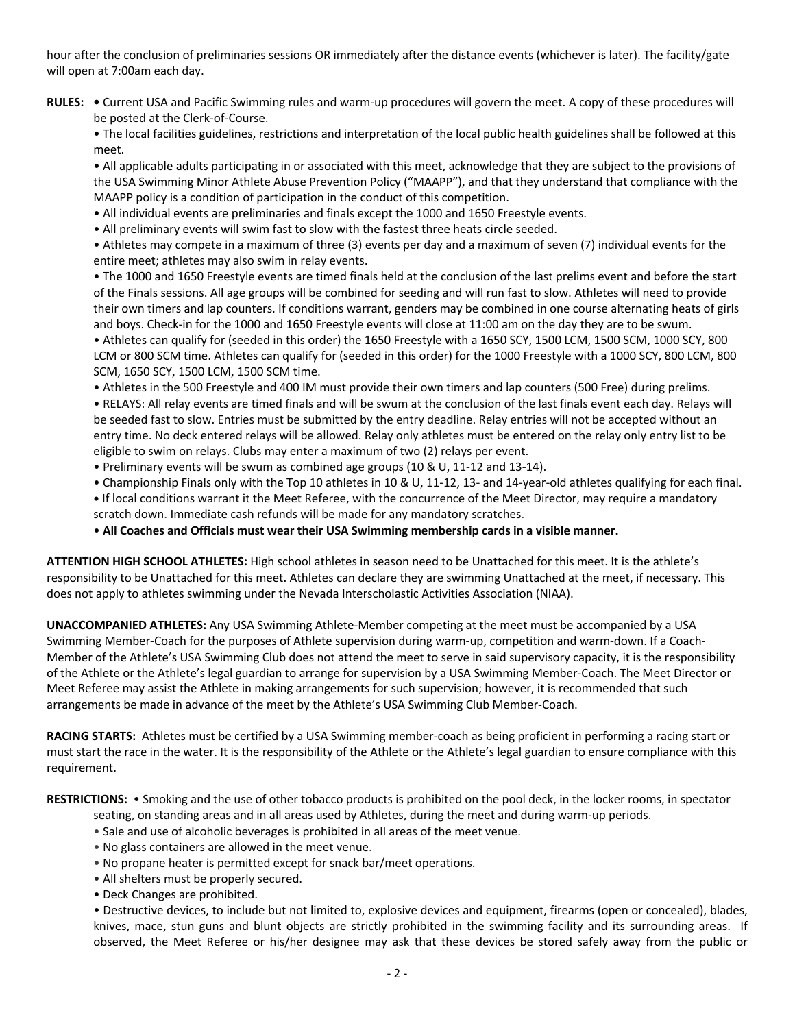hour after the conclusion of preliminaries sessions OR immediately after the distance events (whichever is later). The facility/gate will open at 7:00am each day.

- **RULES: •** Current USA and Pacific Swimming rules and warm-up procedures will govern the meet. A copy of these procedures will be posted at the Clerk-of-Course.
	- The local facilities guidelines, restrictions and interpretation of the local public health guidelines shall be followed at this meet.

• All applicable adults participating in or associated with this meet, acknowledge that they are subject to the provisions of the USA Swimming Minor Athlete Abuse Prevention Policy ("MAAPP"), and that they understand that compliance with the MAAPP policy is a condition of participation in the conduct of this competition.

- All individual events are preliminaries and finals except the 1000 and 1650 Freestyle events.
- All preliminary events will swim fast to slow with the fastest three heats circle seeded.

• Athletes may compete in a maximum of three (3) events per day and a maximum of seven (7) individual events for the entire meet; athletes may also swim in relay events.

• The 1000 and 1650 Freestyle events are timed finals held at the conclusion of the last prelims event and before the start of the Finals sessions. All age groups will be combined for seeding and will run fast to slow. Athletes will need to provide their own timers and lap counters. If conditions warrant, genders may be combined in one course alternating heats of girls and boys. Check-in for the 1000 and 1650 Freestyle events will close at 11:00 am on the day they are to be swum.

• Athletes can qualify for (seeded in this order) the 1650 Freestyle with a 1650 SCY, 1500 LCM, 1500 SCM, 1000 SCY, 800 LCM or 800 SCM time. Athletes can qualify for (seeded in this order) for the 1000 Freestyle with a 1000 SCY, 800 LCM, 800 SCM, 1650 SCY, 1500 LCM, 1500 SCM time.

• Athletes in the 500 Freestyle and 400 IM must provide their own timers and lap counters (500 Free) during prelims.

• RELAYS: All relay events are timed finals and will be swum at the conclusion of the last finals event each day. Relays will be seeded fast to slow. Entries must be submitted by the entry deadline. Relay entries will not be accepted without an entry time. No deck entered relays will be allowed. Relay only athletes must be entered on the relay only entry list to be eligible to swim on relays. Clubs may enter a maximum of two (2) relays per event.

- Preliminary events will be swum as combined age groups (10 & U, 11-12 and 13-14).
- Championship Finals only with the Top 10 athletes in 10 & U, 11-12, 13- and 14-year-old athletes qualifying for each final.
- **•** If local conditions warrant it the Meet Referee, with the concurrence of the Meet Director, may require a mandatory scratch down. Immediate cash refunds will be made for any mandatory scratches.
- **All Coaches and Officials must wear their USA Swimming membership cards in a visible manner.**

**ATTENTION HIGH SCHOOL ATHLETES:** High school athletes in season need to be Unattached for this meet. It is the athlete's responsibility to be Unattached for this meet. Athletes can declare they are swimming Unattached at the meet, if necessary. This does not apply to athletes swimming under the Nevada Interscholastic Activities Association (NIAA).

**UNACCOMPANIED ATHLETES:** Any USA Swimming Athlete-Member competing at the meet must be accompanied by a USA Swimming Member-Coach for the purposes of Athlete supervision during warm-up, competition and warm-down. If a Coach-Member of the Athlete's USA Swimming Club does not attend the meet to serve in said supervisory capacity, it is the responsibility of the Athlete or the Athlete's legal guardian to arrange for supervision by a USA Swimming Member-Coach. The Meet Director or Meet Referee may assist the Athlete in making arrangements for such supervision; however, it is recommended that such arrangements be made in advance of the meet by the Athlete's USA Swimming Club Member-Coach.

**RACING STARTS:** Athletes must be certified by a USA Swimming member-coach as being proficient in performing a racing start or must start the race in the water. It is the responsibility of the Athlete or the Athlete's legal guardian to ensure compliance with this requirement.

**RESTRICTIONS:** • Smoking and the use of other tobacco products is prohibited on the pool deck, in the locker rooms, in spectator

- seating, on standing areas and in all areas used by Athletes, during the meet and during warm-up periods.
- Sale and use of alcoholic beverages is prohibited in all areas of the meet venue.
- No glass containers are allowed in the meet venue.
- No propane heater is permitted except for snack bar/meet operations.
- All shelters must be properly secured.
- Deck Changes are prohibited.

• Destructive devices, to include but not limited to, explosive devices and equipment, firearms (open or concealed), blades, knives, mace, stun guns and blunt objects are strictly prohibited in the swimming facility and its surrounding areas. If observed, the Meet Referee or his/her designee may ask that these devices be stored safely away from the public or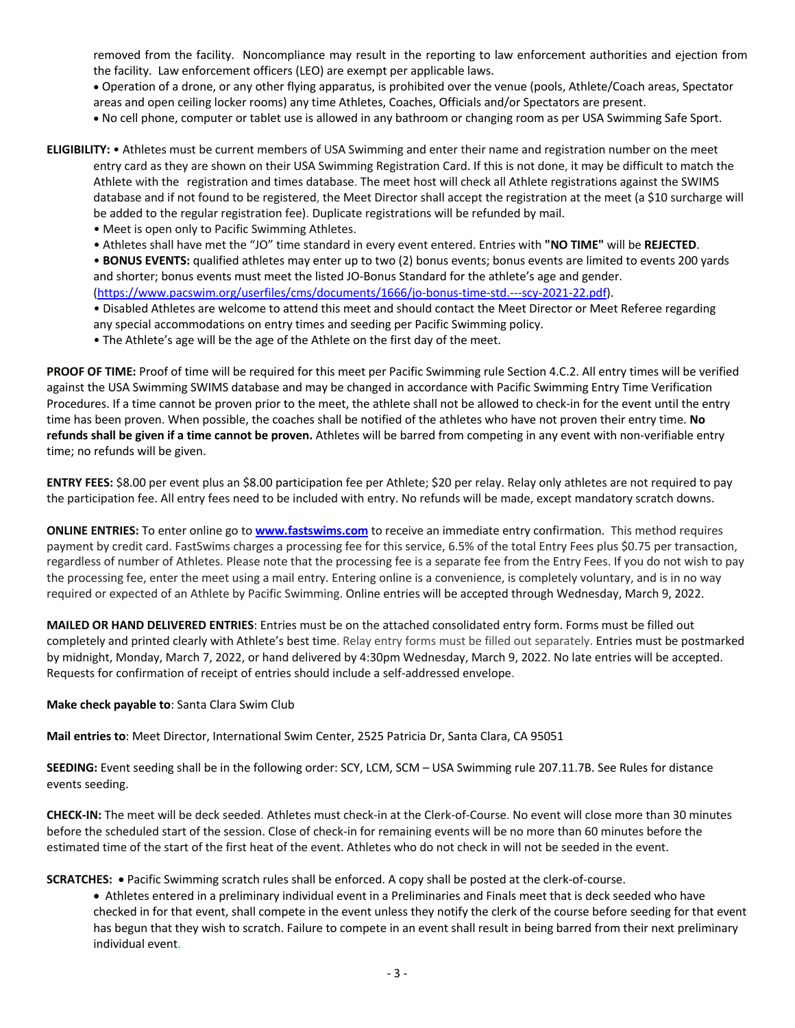removed from the facility. Noncompliance may result in the reporting to law enforcement authorities and ejection from the facility. Law enforcement officers (LEO) are exempt per applicable laws.

• Operation of a drone, or any other flying apparatus, is prohibited over the venue (pools, Athlete/Coach areas, Spectator areas and open ceiling locker rooms) any time Athletes, Coaches, Officials and/or Spectators are present.

• No cell phone, computer or tablet use is allowed in any bathroom or changing room as per USA Swimming Safe Sport.

- **ELIGIBILITY:** Athletes must be current members of USA Swimming and enter their name and registration number on the meet entry card as they are shown on their USA Swimming Registration Card. If this is not done, it may be difficult to match the Athlete with the registration and times database. The meet host will check all Athlete registrations against the SWIMS database and if not found to be registered, the Meet Director shall accept the registration at the meet (a \$10 surcharge will be added to the regular registration fee). Duplicate registrations will be refunded by mail.
	- Meet is open only to Pacific Swimming Athletes.
	- Athletes shall have met the "JO" time standard in every event entered. Entries with **"NO TIME"** will be **REJECTED**.

• **BONUS EVENTS:** qualified athletes may enter up to two (2) bonus events; bonus events are limited to events 200 yards and shorter; bonus events must meet the listed JO-Bonus Standard for the athlete's age and gender. (https://www.pacswim.org/userfiles/cms/documents/1666/jo-bonus-time-std.---scy-2021-22.pdf).

- Disabled Athletes are welcome to attend this meet and should contact the Meet Director or Meet Referee regarding any special accommodations on entry times and seeding per Pacific Swimming policy.
- The Athlete's age will be the age of the Athlete on the first day of the meet.

**PROOF OF TIME:** Proof of time will be required for this meet per Pacific Swimming rule Section 4.C.2. All entry times will be verified against the USA Swimming SWIMS database and may be changed in accordance with Pacific Swimming Entry Time Verification Procedures. If a time cannot be proven prior to the meet, the athlete shall not be allowed to check-in for the event until the entry time has been proven. When possible, the coaches shall be notified of the athletes who have not proven their entry time. **No refunds shall be given if a time cannot be proven.** Athletes will be barred from competing in any event with non-verifiable entry time; no refunds will be given.

**ENTRY FEES:** \$8.00 per event plus an \$8.00 participation fee per Athlete; \$20 per relay. Relay only athletes are not required to pay the participation fee. All entry fees need to be included with entry. No refunds will be made, except mandatory scratch downs.

**ONLINE ENTRIES:** To enter online go to **www.fastswims.com** to receive an immediate entry confirmation. This method requires payment by credit card. FastSwims charges a processing fee for this service, 6.5% of the total Entry Fees plus \$0.75 per transaction, regardless of number of Athletes. Please note that the processing fee is a separate fee from the Entry Fees. If you do not wish to pay the processing fee, enter the meet using a mail entry. Entering online is a convenience, is completely voluntary, and is in no way required or expected of an Athlete by Pacific Swimming. Online entries will be accepted through Wednesday, March 9, 2022.

**MAILED OR HAND DELIVERED ENTRIES**: Entries must be on the attached consolidated entry form. Forms must be filled out completely and printed clearly with Athlete's best time. Relay entry forms must be filled out separately. Entries must be postmarked by midnight, Monday, March 7, 2022, or hand delivered by 4:30pm Wednesday, March 9, 2022. No late entries will be accepted. Requests for confirmation of receipt of entries should include a self-addressed envelope.

**Make check payable to**: Santa Clara Swim Club

**Mail entries to**: Meet Director, International Swim Center, 2525 Patricia Dr, Santa Clara, CA 95051

**SEEDING:** Event seeding shall be in the following order: SCY, LCM, SCM – USA Swimming rule 207.11.7B. See Rules for distance events seeding.

**CHECK-IN:** The meet will be deck seeded. Athletes must check-in at the Clerk-of-Course. No event will close more than 30 minutes before the scheduled start of the session. Close of check-in for remaining events will be no more than 60 minutes before the estimated time of the start of the first heat of the event. Athletes who do not check in will not be seeded in the event.

**SCRATCHES:** • Pacific Swimming scratch rules shall be enforced. A copy shall be posted at the clerk-of-course.

• Athletes entered in a preliminary individual event in a Preliminaries and Finals meet that is deck seeded who have checked in for that event, shall compete in the event unless they notify the clerk of the course before seeding for that event has begun that they wish to scratch. Failure to compete in an event shall result in being barred from their next preliminary individual event.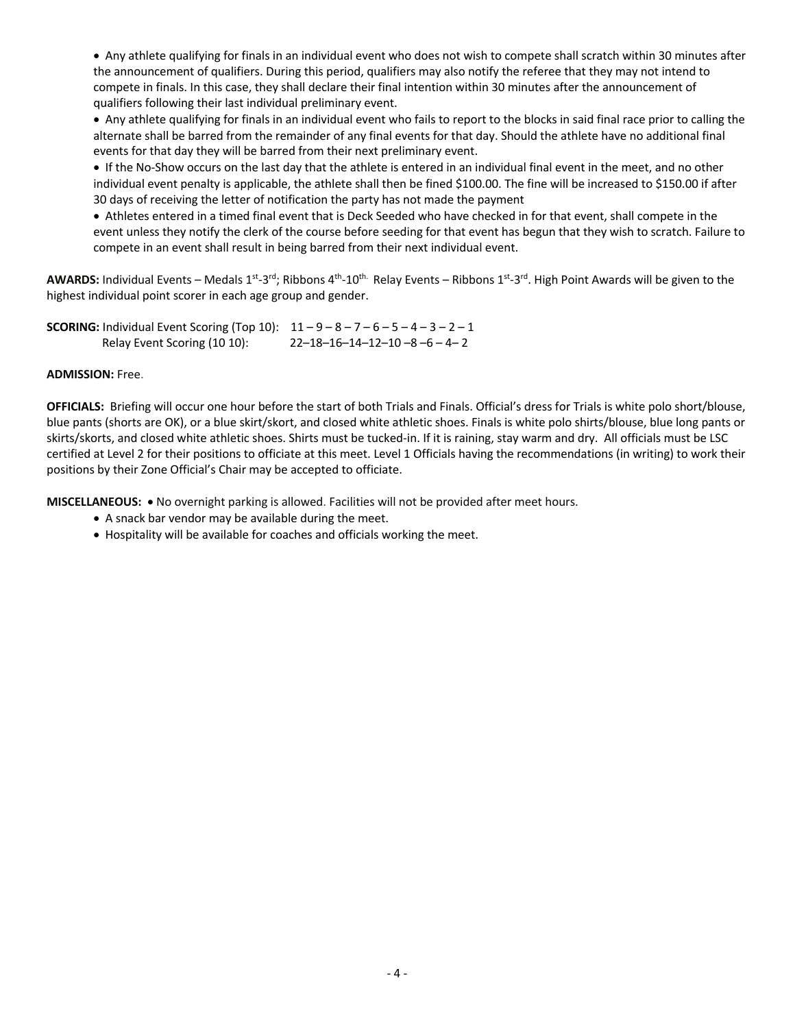• Any athlete qualifying for finals in an individual event who does not wish to compete shall scratch within 30 minutes after the announcement of qualifiers. During this period, qualifiers may also notify the referee that they may not intend to compete in finals. In this case, they shall declare their final intention within 30 minutes after the announcement of qualifiers following their last individual preliminary event.

• Any athlete qualifying for finals in an individual event who fails to report to the blocks in said final race prior to calling the alternate shall be barred from the remainder of any final events for that day. Should the athlete have no additional final events for that day they will be barred from their next preliminary event.

• If the No-Show occurs on the last day that the athlete is entered in an individual final event in the meet, and no other individual event penalty is applicable, the athlete shall then be fined \$100.00. The fine will be increased to \$150.00 if after 30 days of receiving the letter of notification the party has not made the payment

• Athletes entered in a timed final event that is Deck Seeded who have checked in for that event, shall compete in the event unless they notify the clerk of the course before seeding for that event has begun that they wish to scratch. Failure to compete in an event shall result in being barred from their next individual event.

AWARDS: Individual Events – Medals 1<sup>st</sup>-3<sup>rd</sup>; Ribbons 4<sup>th</sup>-10<sup>th.</sup> Relay Events – Ribbons 1<sup>st</sup>-3<sup>rd</sup>. High Point Awards will be given to the highest individual point scorer in each age group and gender.

**SCORING:** Individual Event Scoring (Top 10): 11 – 9 – 8 – 7 – 6 – 5 – 4 – 3 – 2 – 1 Relay Event Scoring (10 10): 22–18–16–14–12–10 –8 –6 – 4– 2

### **ADMISSION:** Free.

**OFFICIALS:** Briefing will occur one hour before the start of both Trials and Finals. Official's dress for Trials is white polo short/blouse, blue pants (shorts are OK), or a blue skirt/skort, and closed white athletic shoes. Finals is white polo shirts/blouse, blue long pants or skirts/skorts, and closed white athletic shoes. Shirts must be tucked-in. If it is raining, stay warm and dry. All officials must be LSC certified at Level 2 for their positions to officiate at this meet. Level 1 Officials having the recommendations (in writing) to work their positions by their Zone Official's Chair may be accepted to officiate.

**MISCELLANEOUS:** • No overnight parking is allowed. Facilities will not be provided after meet hours.

- A snack bar vendor may be available during the meet.
- Hospitality will be available for coaches and officials working the meet.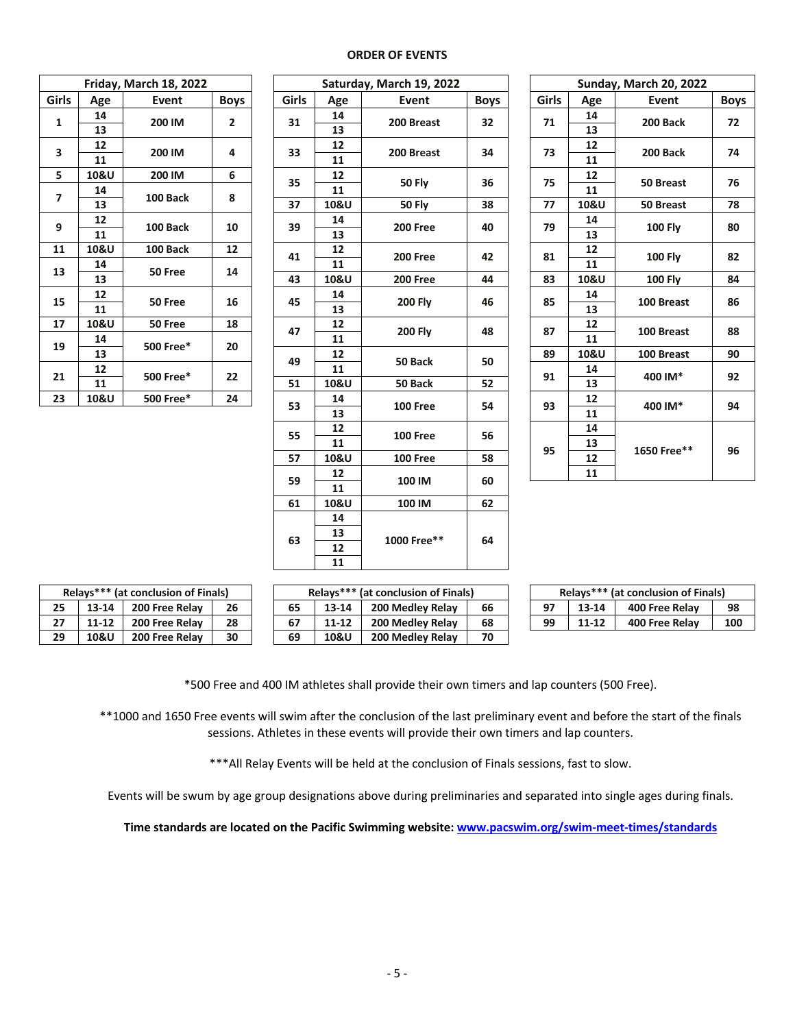#### **ORDER OF EVENTS**

| Friday, March 18, 2022 |      |           |             |  |  |  |
|------------------------|------|-----------|-------------|--|--|--|
| Girls                  | Age  | Event     | <b>Boys</b> |  |  |  |
| 1                      | 14   | 200 IM    |             |  |  |  |
|                        | 13   |           | 2           |  |  |  |
| 3                      | 12   | 200 IM    | 4           |  |  |  |
|                        | 11   |           |             |  |  |  |
| 5                      | 10&U | 200 IM    | 6           |  |  |  |
| 7                      | 14   | 100 Back  | 8           |  |  |  |
|                        | 13   |           |             |  |  |  |
| 9                      | 12   | 100 Back  | 10          |  |  |  |
|                        | 11   |           |             |  |  |  |
| 11                     | 10&U | 100 Back  | 12          |  |  |  |
| 13                     | 14   | 50 Free   | 14          |  |  |  |
|                        | 13   |           |             |  |  |  |
| 15                     | 12   | 50 Free   | 16          |  |  |  |
|                        | 11   |           |             |  |  |  |
| 17                     | 10&U | 50 Free   | 18          |  |  |  |
| 19                     | 14   | 500 Free* | 20          |  |  |  |
|                        | 13   |           |             |  |  |  |
| 21                     | 12   | 500 Free* | 22          |  |  |  |
|                        | 11   |           |             |  |  |  |
| 23                     | 10&U | 500 Free* | 24          |  |  |  |

|                |      | Friday, March 18, 2022 |                |             |            | Saturday, March 19, 2022 |                 |                |          | Sunday, March 20, 2022 |             |            |    |
|----------------|------|------------------------|----------------|-------------|------------|--------------------------|-----------------|----------------|----------|------------------------|-------------|------------|----|
| Girls          | Age  | Event                  | <b>Boys</b>    | Girls       | Age        | Event                    | <b>Boys</b>     | Girls          | Age      | Event                  | <b>Boys</b> |            |    |
| $\mathbf{1}$   | 14   | 200 IM                 | $\mathbf{2}$   | 31          | 14         | 200 Breast               | 32 <sub>2</sub> | 71             | 14       | 200 Back               | 72          |            |    |
|                | 13   |                        |                |             | 13         |                          |                 |                | 13       |                        |             |            |    |
| 3              | 12   | 200 IM                 | $\overline{4}$ | 33          | 12         | 200 Breast               | 34              | 73             | 12       | 200 Back               | 74          |            |    |
|                | 11   |                        |                |             | 11         |                          |                 |                | 11       |                        |             |            |    |
| 5              | 10&U | 200 IM                 | 6              | 35          | 12         | <b>50 Fly</b>            | 36              | 75             | 12       | 50 Breast              | 76          |            |    |
| $\overline{7}$ | 14   | 100 Back               | 8              |             | 11         |                          |                 |                | 11       |                        |             |            |    |
|                | 13   |                        |                | 37          | 10&U       | <b>50 Fly</b>            | 38              | 77             | 10&U     | 50 Breast              | 78          |            |    |
| 9              | 12   | 100 Back               | 10             | 39          | 14         | <b>200 Free</b>          | 40              | 79             | 14       | <b>100 Fly</b>         | 80          |            |    |
|                | 11   |                        |                |             | 13         |                          |                 |                | 13       |                        |             |            |    |
| 11             | 10&U | 100 Back               | 12             | 41          | 12         | 200 Free                 | 42              | 81             | 12       | <b>100 Fly</b>         | 82          |            |    |
| 13             | 14   | 50 Free                | 14             |             | 11         |                          |                 |                | 11       |                        |             |            |    |
|                | 13   |                        |                | 43          | 10&U       | <b>200 Free</b>          | 44              | 83             | 10&U     | <b>100 Fly</b>         | 84          |            |    |
| 15             | 12   | 50 Free                | 16             |             |            | 45                       | ${\bf 14}$      | <b>200 Fly</b> | 46       | 85                     | 14          | 100 Breast | 86 |
|                | 11   |                        |                |             | 13         |                          |                 |                | 13       |                        |             |            |    |
| 17             | 10&U | 50 Free                | 18             | 47          | 12         | <b>200 Fly</b>           | 48              | 87             | 12       | 100 Breast             | 88          |            |    |
| 19             | 14   | 500 Free*              | 20             |             | 11         |                          |                 |                | 11       |                        |             |            |    |
|                | 13   |                        |                | 49          | 12         | 50 Back                  | 50              | 89             | 10&U     | 100 Breast             | 90          |            |    |
| 21             | 12   | 500 Free*              | 22             |             | 11         |                          |                 | 91             | 14       | 400 IM*                | 92          |            |    |
|                | 11   |                        |                | 51          | 10&U       | 50 Back                  | 52              |                | 13       |                        |             |            |    |
| 23             | 10&U | 500 Free*              | 24             | 53          | 14         | <b>100 Free</b>          | 54              | 93             | 12       | 400 IM*                | 94          |            |    |
|                |      |                        |                |             | 13         |                          |                 |                | 11       |                        |             |            |    |
|                |      |                        |                | 55          | 12<br>11   | 100 Free                 | 56              |                | 14<br>13 |                        |             |            |    |
|                |      |                        |                | 57          |            |                          | 58              | 95             | 12       | 1650 Free**            | 96          |            |    |
|                |      |                        |                |             | 10&U<br>12 | 100 Free                 |                 |                | 11       |                        |             |            |    |
|                |      |                        |                | 59          | 11         | 100 IM                   | 60              |                |          |                        |             |            |    |
|                |      |                        |                | 61          | 10&U       | 100 IM                   | 62              |                |          |                        |             |            |    |
|                |      |                        |                |             | 14         |                          |                 |                |          |                        |             |            |    |
|                |      |                        |                |             | 13         |                          |                 |                |          |                        |             |            |    |
|                | 63   |                        | 12             | 1000 Free** | 64         |                          |                 |                |          |                        |             |            |    |
|                |      |                        |                |             | 11         |                          |                 |                |          |                        |             |            |    |

|                 | sturday, March 19, 2022 |             |  | Sunday, March 20, 2022 |      |                  |             |  |
|-----------------|-------------------------|-------------|--|------------------------|------|------------------|-------------|--|
| <b>\ge</b>      | Event                   | <b>Boys</b> |  | Girls                  | Age  | Event            | <b>Boys</b> |  |
| 14              |                         |             |  |                        | 14   |                  |             |  |
| 13              | 200 Breast              | 32          |  | 71                     | 13   | 200 Back         | 72          |  |
| 12              | 200 Breast              | 34          |  | 73                     | 12   | 200 Back         | 74          |  |
| 11              |                         |             |  |                        | 11   |                  |             |  |
| 12              | <b>50 Fly</b>           | 36          |  | 75                     | 12   |                  | 76          |  |
| 11              |                         |             |  |                        | 11   | 50 Breast        |             |  |
| 0&U             | <b>50 Fly</b>           | 38          |  | 77                     | 10&U | <b>50 Breast</b> | 78          |  |
| 14              | <b>200 Free</b>         | 40          |  | 79                     | 14   |                  |             |  |
| 13              |                         |             |  |                        | 13   | <b>100 Fly</b>   | 80          |  |
| 12              | <b>200 Free</b>         | 42          |  | 81                     | 12   | <b>100 Fly</b>   | 82          |  |
| 11              |                         |             |  |                        | 11   |                  |             |  |
| 0&U             | <b>200 Free</b>         | 44          |  | 83                     | 10&U | <b>100 Fly</b>   | 84          |  |
| 14              | <b>200 Fly</b>          | 46          |  | 85                     | 14   | 100 Breast       | 86          |  |
| 13              |                         |             |  |                        | 13   |                  |             |  |
| 12              | <b>200 Fly</b>          | 48          |  | 87                     | 12   | 100 Breast       | 88          |  |
| 11              |                         |             |  |                        | 11   |                  |             |  |
| $\overline{12}$ | 50 Back                 | 50          |  | 89                     | 10&U | 100 Breast       | 90          |  |
| 11              |                         |             |  | 91                     | 14   | 400 IM*          | 92          |  |
| 0&U             | 50 Back                 | 52          |  |                        | 13   |                  |             |  |
| 14              | <b>100 Free</b>         | 54          |  | 93                     | 12   | 400 IM*          | 94          |  |
| 13              |                         |             |  |                        | 11   |                  |             |  |
| 12              |                         | 56          |  |                        | 14   |                  |             |  |
| 11              | <b>100 Free</b>         |             |  | 95                     | 13   | 1650 Free**      | 96          |  |
| 0&U             | <b>100 Free</b>         | 58          |  |                        | 12   |                  |             |  |
| 12              |                         |             |  |                        | 11   |                  |             |  |

| Relays*** (at conclusion of Finals) |           |                |    |  |  |  |
|-------------------------------------|-----------|----------------|----|--|--|--|
| 25                                  | 13-14     | 200 Free Relay | 26 |  |  |  |
| 27                                  | $11 - 12$ | 200 Free Relay | 28 |  |  |  |
| 29                                  | 10&U      | 200 Free Relay | 30 |  |  |  |

| Relays*** (at conclusion of Finals) |                 |                | Relays*** (at conclusion of Finals) |    |                 |                  |    | Relays*** (at conclusion of Finals) |    |       |                |     |
|-------------------------------------|-----------------|----------------|-------------------------------------|----|-----------------|------------------|----|-------------------------------------|----|-------|----------------|-----|
| 25                                  | 13-14           | 200 Free Relay | 26                                  | 65 | 13-14           | 200 Medley Relay | 66 |                                     | 97 | 13-14 | 400 Free Relav | 98  |
| יי                                  | 11-12           | 200 Free Relay | 28                                  | 67 | $11 - 12$       | 200 Medley Relay | 68 |                                     | 99 | 11-12 | 400 Free Relay | 100 |
| 29                                  | <b>10&amp;U</b> | 200 Free Relay | 30                                  | 69 | <b>10&amp;U</b> | 200 Medley Relay | 70 |                                     |    |       |                |     |

| Relays*** (at conclusion of Finals) |           |                |     |  |  |  |
|-------------------------------------|-----------|----------------|-----|--|--|--|
| 97                                  | 13-14     | 400 Free Relay | 98  |  |  |  |
| 99                                  | $11 - 12$ | 400 Free Relay | 100 |  |  |  |

\*500 Free and 400 IM athletes shall provide their own timers and lap counters (500 Free).

\*\*1000 and 1650 Free events will swim after the conclusion of the last preliminary event and before the start of the finals sessions. Athletes in these events will provide their own timers and lap counters.

\*\*\* All Relay Events will be held at the conclusion of Finals sessions, fast to slow.

Events will be swum by age group designations above during preliminaries and separated into single ages during finals.

**Time standards are located on the Pacific Swimming website: www.pacswim.org/swim-meet-times/standards**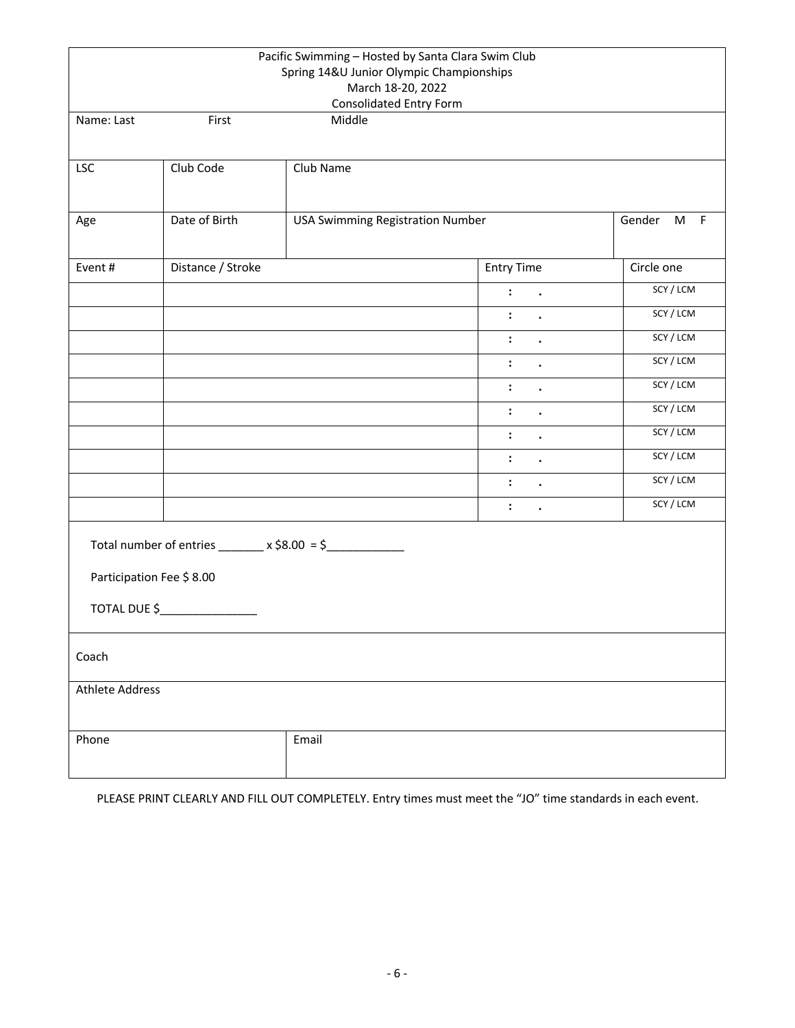|                          |                   | Pacific Swimming - Hosted by Santa Clara Swim Club<br>Spring 14&U Junior Olympic Championships<br>March 18-20, 2022<br>Consolidated Entry Form |                             |            |
|--------------------------|-------------------|------------------------------------------------------------------------------------------------------------------------------------------------|-----------------------------|------------|
| Name: Last               | First             | Middle                                                                                                                                         |                             |            |
| <b>LSC</b>               | Club Code         | Club Name                                                                                                                                      |                             |            |
| Age                      | Date of Birth     | <b>USA Swimming Registration Number</b>                                                                                                        |                             | Gender M F |
| Event#                   | Distance / Stroke |                                                                                                                                                | <b>Entry Time</b>           | Circle one |
|                          |                   |                                                                                                                                                | $1 - 1$                     | SCY / LCM  |
|                          |                   |                                                                                                                                                | $\ddot{\cdot}$<br>$\bullet$ | SCY/LCM    |
|                          |                   |                                                                                                                                                | $\ddot{\cdot}$<br>$\bullet$ | SCY / LCM  |
|                          |                   |                                                                                                                                                | $\ddot{\cdot}$<br>$\bullet$ | SCY/LCM    |
|                          |                   |                                                                                                                                                | $\ddot{\cdot}$              | SCY/LCM    |
|                          |                   |                                                                                                                                                | $\ddot{\cdot}$<br>$\bullet$ | SCY/LCM    |
|                          |                   |                                                                                                                                                | $\ddot{\cdot}$<br>$\bullet$ | SCY/LCM    |
|                          |                   |                                                                                                                                                | $\ddot{\cdot}$<br>$\bullet$ | SCY/LCM    |
|                          |                   |                                                                                                                                                | $\ddot{\cdot}$<br>$\bullet$ | SCY/LCM    |
|                          |                   |                                                                                                                                                | $\ddot{\cdot}$<br>$\bullet$ | SCY / LCM  |
| Participation Fee \$8.00 | TOTAL DUE \$      | Total number of entries ________ x \$8.00 = \$_______________                                                                                  |                             |            |
| Coach                    |                   |                                                                                                                                                |                             |            |
| <b>Athlete Address</b>   |                   |                                                                                                                                                |                             |            |
| Phone                    |                   | Email                                                                                                                                          |                             |            |

PLEASE PRINT CLEARLY AND FILL OUT COMPLETELY. Entry times must meet the "JO" time standards in each event.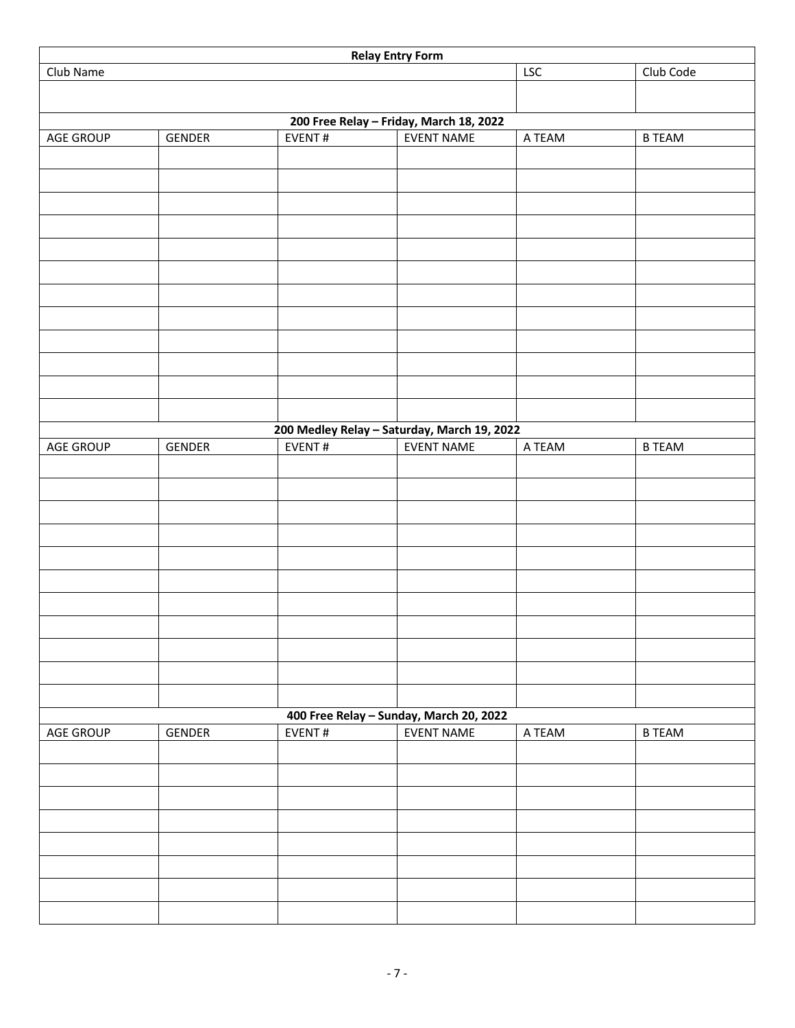|           |        |        | <b>Relay Entry Form</b>                     |            |               |
|-----------|--------|--------|---------------------------------------------|------------|---------------|
| Club Name |        |        |                                             | <b>LSC</b> | Club Code     |
|           |        |        |                                             |            |               |
|           |        |        | 200 Free Relay - Friday, March 18, 2022     |            |               |
| AGE GROUP | GENDER | EVENT# | <b>EVENT NAME</b>                           | A TEAM     | <b>B TEAM</b> |
|           |        |        |                                             |            |               |
|           |        |        |                                             |            |               |
|           |        |        |                                             |            |               |
|           |        |        |                                             |            |               |
|           |        |        |                                             |            |               |
|           |        |        |                                             |            |               |
|           |        |        |                                             |            |               |
|           |        |        |                                             |            |               |
|           |        |        |                                             |            |               |
|           |        |        |                                             |            |               |
|           |        |        |                                             |            |               |
|           |        |        |                                             |            |               |
|           |        |        | 200 Medley Relay - Saturday, March 19, 2022 |            |               |
| AGE GROUP | GENDER | EVENT# | <b>EVENT NAME</b>                           | A TEAM     | <b>B TEAM</b> |
|           |        |        |                                             |            |               |
|           |        |        |                                             |            |               |
|           |        |        |                                             |            |               |
|           |        |        |                                             |            |               |
|           |        |        |                                             |            |               |
|           |        |        |                                             |            |               |
|           |        |        |                                             |            |               |
|           |        |        |                                             |            |               |
|           |        |        |                                             |            |               |
|           |        |        |                                             |            |               |
|           |        |        |                                             |            |               |
|           |        |        | 400 Free Relay - Sunday, March 20, 2022     |            |               |
| AGE GROUP | GENDER | EVENT# | <b>EVENT NAME</b>                           | A TEAM     | <b>B TEAM</b> |
|           |        |        |                                             |            |               |
|           |        |        |                                             |            |               |
|           |        |        |                                             |            |               |
|           |        |        |                                             |            |               |
|           |        |        |                                             |            |               |
|           |        |        |                                             |            |               |
|           |        |        |                                             |            |               |
|           |        |        |                                             |            |               |